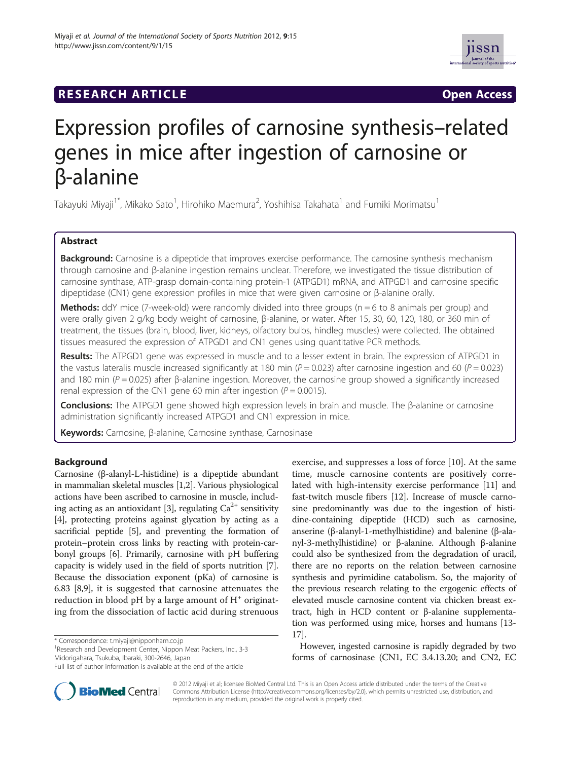# **RESEARCH ARTICLE Example 2014 CONSIDERING A RESEARCH ARTICLE**



# Expression profiles of carnosine synthesis–related genes in mice after ingestion of carnosine or β-alanine

Takayuki Miyaji<sup>1\*</sup>, Mikako Sato<sup>1</sup>, Hirohiko Maemura<sup>2</sup>, Yoshihisa Takahata<sup>1</sup> and Fumiki Morimatsu<sup>1</sup>

# Abstract

Background: Carnosine is a dipeptide that improves exercise performance. The carnosine synthesis mechanism through carnosine and β-alanine ingestion remains unclear. Therefore, we investigated the tissue distribution of carnosine synthase, ATP-grasp domain-containing protein-1 (ATPGD1) mRNA, and ATPGD1 and carnosine specific dipeptidase (CN1) gene expression profiles in mice that were given carnosine or β-alanine orally.

**Methods:** ddY mice (7-week-old) were randomly divided into three groups ( $n = 6$  to 8 animals per group) and were orally given 2 g/kg body weight of carnosine, β-alanine, or water. After 15, 30, 60, 120, 180, or 360 min of treatment, the tissues (brain, blood, liver, kidneys, olfactory bulbs, hindleg muscles) were collected. The obtained tissues measured the expression of ATPGD1 and CN1 genes using quantitative PCR methods.

Results: The ATPGD1 gene was expressed in muscle and to a lesser extent in brain. The expression of ATPGD1 in the vastus lateralis muscle increased significantly at 180 min ( $P = 0.023$ ) after carnosine ingestion and 60 ( $P = 0.023$ ) and 180 min ( $P = 0.025$ ) after β-alanine ingestion. Moreover, the carnosine group showed a significantly increased renal expression of the CN1 gene 60 min after ingestion ( $P = 0.0015$ ).

Conclusions: The ATPGD1 gene showed high expression levels in brain and muscle. The β-alanine or carnosine administration significantly increased ATPGD1 and CN1 expression in mice.

Keywords: Carnosine, β-alanine, Carnosine synthase, Carnosinase

# Background

Carnosine (β-alanyl-L-histidine) is a dipeptide abundant in mammalian skeletal muscles [[1,2](#page-4-0)]. Various physiological actions have been ascribed to carnosine in muscle, includ-ing acting as an antioxidant [[3\]](#page-4-0), regulating  $Ca^{2+}$  sensitivity [[4\]](#page-4-0), protecting proteins against glycation by acting as a sacrificial peptide [\[5\]](#page-4-0), and preventing the formation of protein–protein cross links by reacting with protein-carbonyl groups [\[6](#page-4-0)]. Primarily, carnosine with pH buffering capacity is widely used in the field of sports nutrition [[7](#page-4-0)]. Because the dissociation exponent (pKa) of carnosine is 6.83 [\[8,9\]](#page-4-0), it is suggested that carnosine attenuates the reduction in blood  $pH$  by a large amount of  $H^+$  originating from the dissociation of lactic acid during strenuous

\* Correspondence: [t.miyaji@nipponham.co.jp](mailto:t.miyaji@nipponham.co.jp) <sup>1</sup>

<sup>1</sup> Research and Development Center, Nippon Meat Packers, Inc., 3-3 Midorigahara, Tsukuba, Ibaraki, 300-2646, Japan

exercise, and suppresses a loss of force [[10\]](#page-4-0). At the same time, muscle carnosine contents are positively correlated with high-intensity exercise performance [[11\]](#page-4-0) and fast-twitch muscle fibers [\[12\]](#page-4-0). Increase of muscle carnosine predominantly was due to the ingestion of histidine-containing dipeptide (HCD) such as carnosine, anserine (β-alanyl-1-methylhistidine) and balenine (β-alanyl-3-methylhistidine) or β-alanine. Although β-alanine could also be synthesized from the degradation of uracil, there are no reports on the relation between carnosine synthesis and pyrimidine catabolism. So, the majority of the previous research relating to the ergogenic effects of elevated muscle carnosine content via chicken breast extract, high in HCD content or β-alanine supplementation was performed using mice, horses and humans [\[13](#page-4-0)- [17](#page-4-0)].

However, ingested carnosine is rapidly degraded by two forms of carnosinase (CN1, EC 3.4.13.20; and CN2, EC



© 2012 Miyaji et al; licensee BioMed Central Ltd. This is an Open Access article distributed under the terms of the Creative Commons Attribution License (http://creativecommons.org/licenses/by/2.0), which permits unrestricted use, distribution, and reproduction in any medium, provided the original work is properly cited.

Full list of author information is available at the end of the article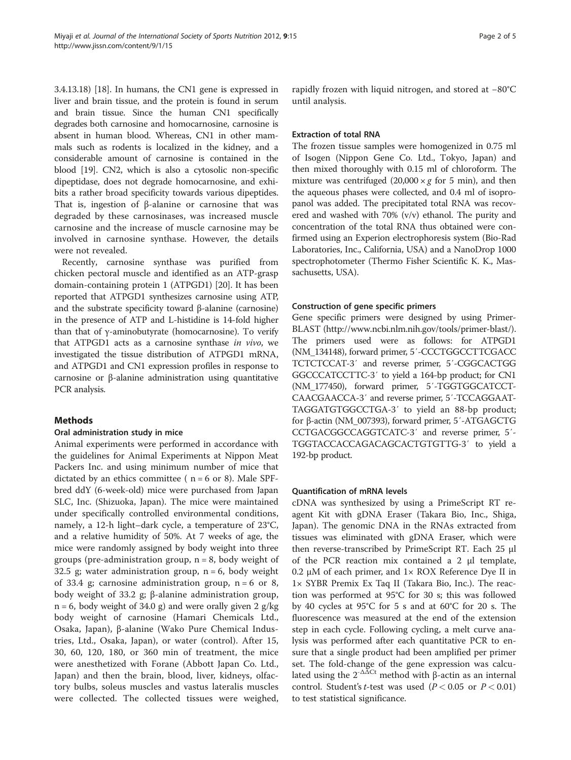3.4.13.18) [[18](#page-4-0)]. In humans, the CN1 gene is expressed in liver and brain tissue, and the protein is found in serum and brain tissue. Since the human CN1 specifically degrades both carnosine and homocarnosine, carnosine is absent in human blood. Whereas, CN1 in other mammals such as rodents is localized in the kidney, and a considerable amount of carnosine is contained in the blood [\[19\]](#page-4-0). CN2, which is also a cytosolic non-specific dipeptidase, does not degrade homocarnosine, and exhibits a rather broad specificity towards various dipeptides. That is, ingestion of β-alanine or carnosine that was degraded by these carnosinases, was increased muscle carnosine and the increase of muscle carnosine may be involved in carnosine synthase. However, the details were not revealed.

Recently, carnosine synthase was purified from chicken pectoral muscle and identified as an ATP-grasp domain-containing protein 1 (ATPGD1) [[20](#page-4-0)]. It has been reported that ATPGD1 synthesizes carnosine using ATP, and the substrate specificity toward β-alanine (carnosine) in the presence of ATP and L-histidine is 14-fold higher than that of γ-aminobutyrate (homocarnosine). To verify that ATPGD1 acts as a carnosine synthase in vivo, we investigated the tissue distribution of ATPGD1 mRNA, and ATPGD1 and CN1 expression profiles in response to carnosine or β-alanine administration using quantitative PCR analysis.

#### Methods

#### Oral administration study in mice

Animal experiments were performed in accordance with the guidelines for Animal Experiments at Nippon Meat Packers Inc. and using minimum number of mice that dictated by an ethics committee ( $n = 6$  or 8). Male SPFbred ddY (6-week-old) mice were purchased from Japan SLC, Inc. (Shizuoka, Japan). The mice were maintained under specifically controlled environmental conditions, namely, a 12-h light–dark cycle, a temperature of 23°C, and a relative humidity of 50%. At 7 weeks of age, the mice were randomly assigned by body weight into three groups (pre-administration group,  $n = 8$ , body weight of 32.5 g; water administration group,  $n = 6$ , body weight of 33.4 g; carnosine administration group,  $n = 6$  or 8, body weight of 33.2 g; β-alanine administration group,  $n = 6$ , body weight of 34.0 g) and were orally given 2 g/kg body weight of carnosine (Hamari Chemicals Ltd., Osaka, Japan), β-alanine (Wako Pure Chemical Industries, Ltd., Osaka, Japan), or water (control). After 15, 30, 60, 120, 180, or 360 min of treatment, the mice were anesthetized with Forane (Abbott Japan Co. Ltd., Japan) and then the brain, blood, liver, kidneys, olfactory bulbs, soleus muscles and vastus lateralis muscles were collected. The collected tissues were weighed, rapidly frozen with liquid nitrogen, and stored at −80°C until analysis.

# Extraction of total RNA

The frozen tissue samples were homogenized in 0.75 ml of Isogen (Nippon Gene Co. Ltd., Tokyo, Japan) and then mixed thoroughly with 0.15 ml of chloroform. The mixture was centrifuged  $(20,000 \times g$  for 5 min), and then the aqueous phases were collected, and 0.4 ml of isopropanol was added. The precipitated total RNA was recovered and washed with 70% (v/v) ethanol. The purity and concentration of the total RNA thus obtained were confirmed using an Experion electrophoresis system (Bio-Rad Laboratories, Inc., California, USA) and a NanoDrop 1000 spectrophotometer (Thermo Fisher Scientific K. K., Massachusetts, USA).

#### Construction of gene specific primers

Gene specific primers were designed by using Primer-BLAST [\(http://www.ncbi.nlm.nih.gov/tools/primer-blast/](http://www.ncbi.nlm.nih.gov/tools/primer-blast/)). The primers used were as follows: for ATPGD1 (NM\_134148), forward primer, 5′-CCCTGGCCTTCGACC TCTCTCCAT-3′ and reverse primer, 5′-CGGCACTGG GGCCCATCCTTC-3′ to yield a 164-bp product; for CN1 (NM\_177450), forward primer, 5′-TGGTGGCATCCT-CAACGAACCA-3′ and reverse primer, 5′-TCCAGGAAT-TAGGATGTGGCCTGA-3′ to yield an 88-bp product; for β-actin (NM\_007393), forward primer, 5′-ATGAGCTG CCTGACGGCCAGGTCATC-3′ and reverse primer, 5′- TGGTACCACCAGACAGCACTGTGTTG-3′ to yield a 192-bp product.

#### Quantification of mRNA levels

cDNA was synthesized by using a PrimeScript RT reagent Kit with gDNA Eraser (Takara Bio, Inc., Shiga, Japan). The genomic DNA in the RNAs extracted from tissues was eliminated with gDNA Eraser, which were then reverse-transcribed by PrimeScript RT. Each 25 μl of the PCR reaction mix contained a 2 μl template, 0.2 μM of each primer, and  $1 \times$  ROX Reference Dye II in 1× SYBR Premix Ex Taq II (Takara Bio, Inc.). The reaction was performed at 95°C for 30 s; this was followed by 40 cycles at 95°C for 5 s and at 60°C for 20 s. The fluorescence was measured at the end of the extension step in each cycle. Following cycling, a melt curve analysis was performed after each quantitative PCR to ensure that a single product had been amplified per primer set. The fold-change of the gene expression was calculated using the  $2^{-\Delta \Delta Ct}$  method with β-actin as an internal control. Student's t-test was used ( $P < 0.05$  or  $P < 0.01$ ) to test statistical significance.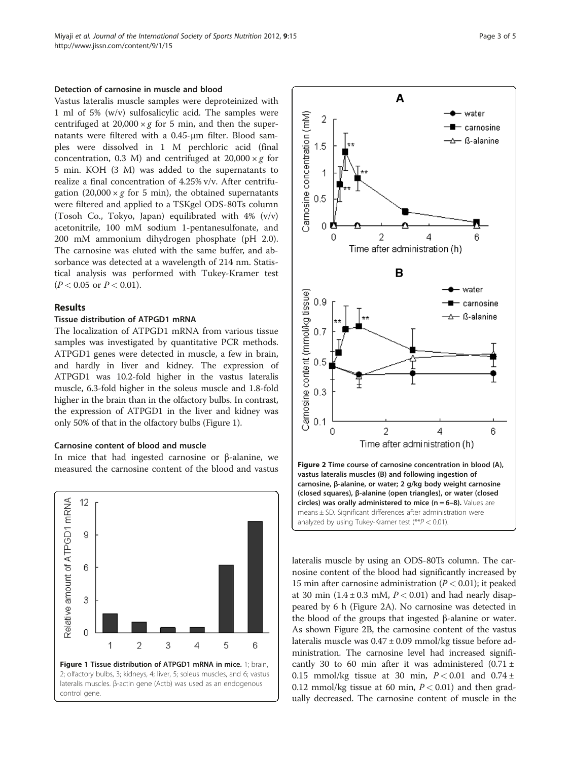#### Detection of carnosine in muscle and blood

Vastus lateralis muscle samples were deproteinized with 1 ml of 5% (w/v) sulfosalicylic acid. The samples were centrifuged at  $20,000 \times g$  for 5 min, and then the supernatants were filtered with a 0.45-μm filter. Blood samples were dissolved in 1 M perchloric acid (final concentration, 0.3 M) and centrifuged at  $20,000 \times g$  for 5 min. KOH (3 M) was added to the supernatants to realize a final concentration of 4.25% v/v. After centrifugation  $(20,000 \times g$  for 5 min), the obtained supernatants were filtered and applied to a TSKgel ODS-80Ts column (Tosoh Co., Tokyo, Japan) equilibrated with 4% (v/v) acetonitrile, 100 mM sodium 1-pentanesulfonate, and 200 mM ammonium dihydrogen phosphate (pH 2.0). The carnosine was eluted with the same buffer, and absorbance was detected at a wavelength of 214 nm. Statistical analysis was performed with Tukey-Kramer test  $(P < 0.05$  or  $P < 0.01$ ).

# Results

#### Tissue distribution of ATPGD1 mRNA

The localization of ATPGD1 mRNA from various tissue samples was investigated by quantitative PCR methods. ATPGD1 genes were detected in muscle, a few in brain, and hardly in liver and kidney. The expression of ATPGD1 was 10.2-fold higher in the vastus lateralis muscle, 6.3-fold higher in the soleus muscle and 1.8-fold higher in the brain than in the olfactory bulbs. In contrast, the expression of ATPGD1 in the liver and kidney was only 50% of that in the olfactory bulbs (Figure 1).

#### Carnosine content of blood and muscle

In mice that had ingested carnosine or β-alanine, we measured the carnosine content of the blood and vastus





circles) was orally administered to mice  $(n = 6-8)$ . Values are means ± SD. Significant differences after administration were analyzed by using Tukey-Kramer test  $(**P < 0.01)$ .

lateralis muscle by using an ODS-80Ts column. The carnosine content of the blood had significantly increased by 15 min after carnosine administration ( $P < 0.01$ ); it peaked at 30 min  $(1.4 \pm 0.3 \text{ mM}, P < 0.01)$  and had nearly disappeared by 6 h (Figure 2A). No carnosine was detected in the blood of the groups that ingested β-alanine or water. As shown Figure 2B, the carnosine content of the vastus lateralis muscle was 0.47 ± 0.09 mmol/kg tissue before administration. The carnosine level had increased significantly 30 to 60 min after it was administered  $(0.71 \pm$ 0.15 mmol/kg tissue at 30 min,  $P < 0.01$  and 0.74 ± 0.12 mmol/kg tissue at 60 min,  $P < 0.01$ ) and then gradually decreased. The carnosine content of muscle in the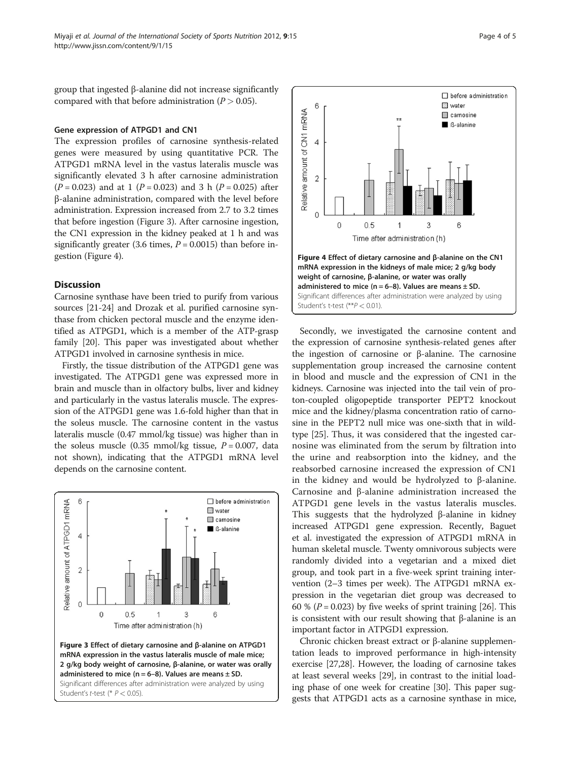group that ingested β-alanine did not increase significantly compared with that before administration  $(P > 0.05)$ .

# Gene expression of ATPGD1 and CN1

The expression profiles of carnosine synthesis-related genes were measured by using quantitative PCR. The ATPGD1 mRNA level in the vastus lateralis muscle was significantly elevated 3 h after carnosine administration  $(P = 0.023)$  and at 1  $(P = 0.023)$  and 3 h  $(P = 0.025)$  after β-alanine administration, compared with the level before administration. Expression increased from 2.7 to 3.2 times that before ingestion (Figure 3). After carnosine ingestion, the CN1 expression in the kidney peaked at 1 h and was significantly greater (3.6 times,  $P = 0.0015$ ) than before ingestion (Figure 4).

# **Discussion**

Carnosine synthase have been tried to purify from various sources [\[21-24\]](#page-4-0) and Drozak et al. purified carnosine synthase from chicken pectoral muscle and the enzyme identified as ATPGD1, which is a member of the ATP-grasp family [\[20\]](#page-4-0). This paper was investigated about whether ATPGD1 involved in carnosine synthesis in mice.

Firstly, the tissue distribution of the ATPGD1 gene was investigated. The ATPGD1 gene was expressed more in brain and muscle than in olfactory bulbs, liver and kidney and particularly in the vastus lateralis muscle. The expression of the ATPGD1 gene was 1.6-fold higher than that in the soleus muscle. The carnosine content in the vastus lateralis muscle (0.47 mmol/kg tissue) was higher than in the soleus muscle (0.35 mmol/kg tissue,  $P = 0.007$ , data not shown), indicating that the ATPGD1 mRNA level depends on the carnosine content.





Secondly, we investigated the carnosine content and the expression of carnosine synthesis-related genes after the ingestion of carnosine or β-alanine. The carnosine supplementation group increased the carnosine content in blood and muscle and the expression of CN1 in the kidneys. Carnosine was injected into the tail vein of proton-coupled oligopeptide transporter PEPT2 knockout mice and the kidney/plasma concentration ratio of carnosine in the PEPT2 null mice was one-sixth that in wildtype [[25](#page-4-0)]. Thus, it was considered that the ingested carnosine was eliminated from the serum by filtration into the urine and reabsorption into the kidney, and the reabsorbed carnosine increased the expression of CN1 in the kidney and would be hydrolyzed to β-alanine. Carnosine and β-alanine administration increased the ATPGD1 gene levels in the vastus lateralis muscles. This suggests that the hydrolyzed β-alanine in kidney increased ATPGD1 gene expression. Recently, Baguet et al. investigated the expression of ATPGD1 mRNA in human skeletal muscle. Twenty omnivorous subjects were randomly divided into a vegetarian and a mixed diet group, and took part in a five-week sprint training intervention (2–3 times per week). The ATPGD1 mRNA expression in the vegetarian diet group was decreased to 60 % ( $P = 0.023$ ) by five weeks of sprint training [\[26\]](#page-4-0). This is consistent with our result showing that β-alanine is an important factor in ATPGD1 expression.

Chronic chicken breast extract or β-alanine supplementation leads to improved performance in high-intensity exercise [\[27,28\]](#page-4-0). However, the loading of carnosine takes at least several weeks [[29](#page-4-0)], in contrast to the initial loading phase of one week for creatine [\[30\]](#page-4-0). This paper suggests that ATPGD1 acts as a carnosine synthase in mice,